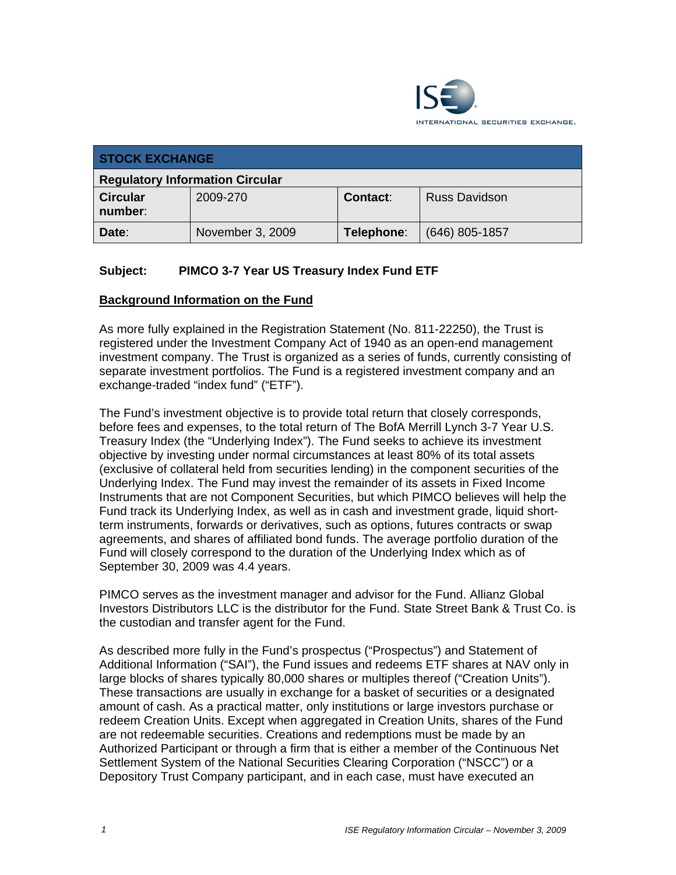

| <b>STOCK EXCHANGE</b>                  |                  |                 |                      |  |
|----------------------------------------|------------------|-----------------|----------------------|--|
| <b>Regulatory Information Circular</b> |                  |                 |                      |  |
| <b>Circular</b><br>number:             | 2009-270         | <b>Contact:</b> | <b>Russ Davidson</b> |  |
| Date:                                  | November 3, 2009 | Telephone:      | $(646)$ 805-1857     |  |

## **Subject: PIMCO 3-7 Year US Treasury Index Fund ETF**

### **Background Information on the Fund**

As more fully explained in the Registration Statement (No. 811-22250), the Trust is registered under the Investment Company Act of 1940 as an open-end management investment company. The Trust is organized as a series of funds, currently consisting of separate investment portfolios. The Fund is a registered investment company and an exchange-traded "index fund" ("ETF").

The Fund's investment objective is to provide total return that closely corresponds, before fees and expenses, to the total return of The BofA Merrill Lynch 3-7 Year U.S. Treasury Index (the "Underlying Index"). The Fund seeks to achieve its investment objective by investing under normal circumstances at least 80% of its total assets (exclusive of collateral held from securities lending) in the component securities of the Underlying Index. The Fund may invest the remainder of its assets in Fixed Income Instruments that are not Component Securities, but which PIMCO believes will help the Fund track its Underlying Index, as well as in cash and investment grade, liquid shortterm instruments, forwards or derivatives, such as options, futures contracts or swap agreements, and shares of affiliated bond funds. The average portfolio duration of the Fund will closely correspond to the duration of the Underlying Index which as of September 30, 2009 was 4.4 years.

PIMCO serves as the investment manager and advisor for the Fund. Allianz Global Investors Distributors LLC is the distributor for the Fund. State Street Bank & Trust Co. is the custodian and transfer agent for the Fund.

As described more fully in the Fund's prospectus ("Prospectus") and Statement of Additional Information ("SAI"), the Fund issues and redeems ETF shares at NAV only in large blocks of shares typically 80,000 shares or multiples thereof ("Creation Units"). These transactions are usually in exchange for a basket of securities or a designated amount of cash. As a practical matter, only institutions or large investors purchase or redeem Creation Units. Except when aggregated in Creation Units, shares of the Fund are not redeemable securities. Creations and redemptions must be made by an Authorized Participant or through a firm that is either a member of the Continuous Net Settlement System of the National Securities Clearing Corporation ("NSCC") or a Depository Trust Company participant, and in each case, must have executed an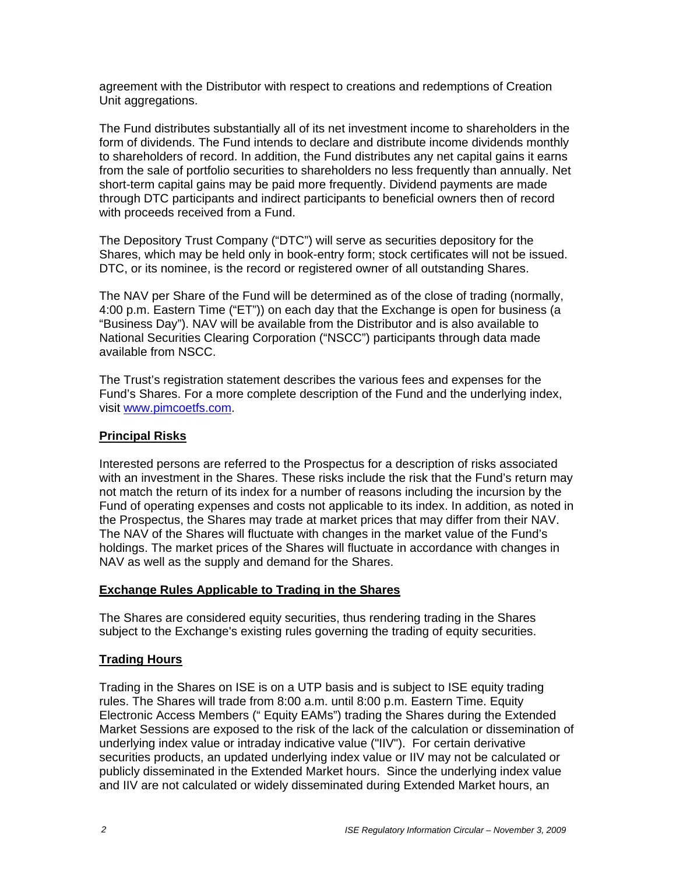agreement with the Distributor with respect to creations and redemptions of Creation Unit aggregations.

The Fund distributes substantially all of its net investment income to shareholders in the form of dividends. The Fund intends to declare and distribute income dividends monthly to shareholders of record. In addition, the Fund distributes any net capital gains it earns from the sale of portfolio securities to shareholders no less frequently than annually. Net short-term capital gains may be paid more frequently. Dividend payments are made through DTC participants and indirect participants to beneficial owners then of record with proceeds received from a Fund.

The Depository Trust Company ("DTC") will serve as securities depository for the Shares, which may be held only in book-entry form; stock certificates will not be issued. DTC, or its nominee, is the record or registered owner of all outstanding Shares.

The NAV per Share of the Fund will be determined as of the close of trading (normally, 4:00 p.m. Eastern Time ("ET")) on each day that the Exchange is open for business (a "Business Day"). NAV will be available from the Distributor and is also available to National Securities Clearing Corporation ("NSCC") participants through data made available from NSCC.

The Trust's registration statement describes the various fees and expenses for the Fund's Shares. For a more complete description of the Fund and the underlying index, visit www.pimcoetfs.com.

### **Principal Risks**

Interested persons are referred to the Prospectus for a description of risks associated with an investment in the Shares. These risks include the risk that the Fund's return may not match the return of its index for a number of reasons including the incursion by the Fund of operating expenses and costs not applicable to its index. In addition, as noted in the Prospectus, the Shares may trade at market prices that may differ from their NAV. The NAV of the Shares will fluctuate with changes in the market value of the Fund's holdings. The market prices of the Shares will fluctuate in accordance with changes in NAV as well as the supply and demand for the Shares.

#### **Exchange Rules Applicable to Trading in the Shares**

The Shares are considered equity securities, thus rendering trading in the Shares subject to the Exchange's existing rules governing the trading of equity securities.

### **Trading Hours**

Trading in the Shares on ISE is on a UTP basis and is subject to ISE equity trading rules. The Shares will trade from 8:00 a.m. until 8:00 p.m. Eastern Time. Equity Electronic Access Members (" Equity EAMs") trading the Shares during the Extended Market Sessions are exposed to the risk of the lack of the calculation or dissemination of underlying index value or intraday indicative value ("IIV"). For certain derivative securities products, an updated underlying index value or IIV may not be calculated or publicly disseminated in the Extended Market hours. Since the underlying index value and IIV are not calculated or widely disseminated during Extended Market hours, an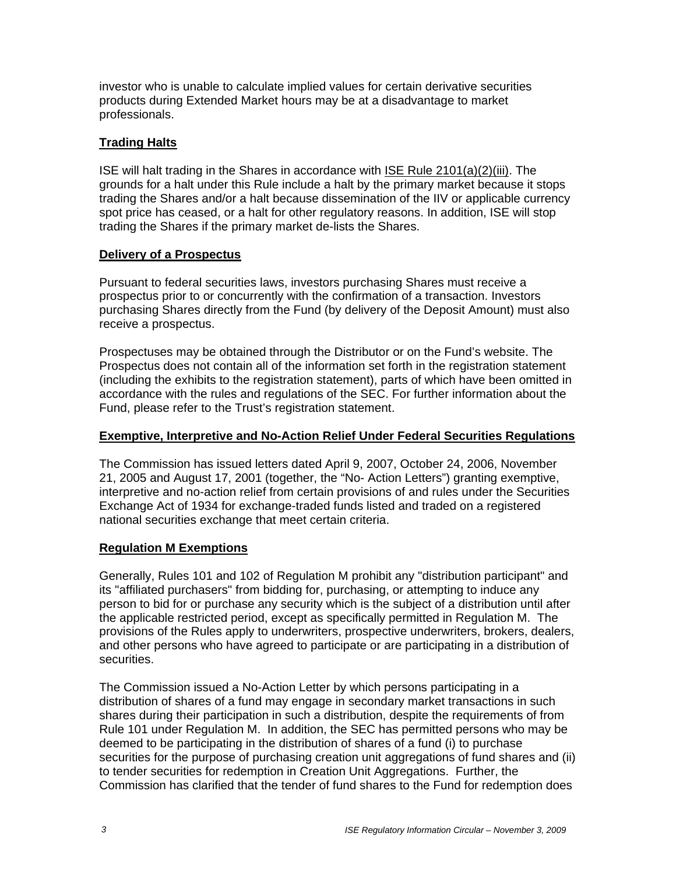investor who is unable to calculate implied values for certain derivative securities products during Extended Market hours may be at a disadvantage to market professionals.

## **Trading Halts**

ISE will halt trading in the Shares in accordance with ISE Rule 2101(a)(2)(iii). The grounds for a halt under this Rule include a halt by the primary market because it stops trading the Shares and/or a halt because dissemination of the IIV or applicable currency spot price has ceased, or a halt for other regulatory reasons. In addition, ISE will stop trading the Shares if the primary market de-lists the Shares.

### **Delivery of a Prospectus**

Pursuant to federal securities laws, investors purchasing Shares must receive a prospectus prior to or concurrently with the confirmation of a transaction. Investors purchasing Shares directly from the Fund (by delivery of the Deposit Amount) must also receive a prospectus.

Prospectuses may be obtained through the Distributor or on the Fund's website. The Prospectus does not contain all of the information set forth in the registration statement (including the exhibits to the registration statement), parts of which have been omitted in accordance with the rules and regulations of the SEC. For further information about the Fund, please refer to the Trust's registration statement.

## **Exemptive, Interpretive and No-Action Relief Under Federal Securities Regulations**

The Commission has issued letters dated April 9, 2007, October 24, 2006, November 21, 2005 and August 17, 2001 (together, the "No- Action Letters") granting exemptive, interpretive and no-action relief from certain provisions of and rules under the Securities Exchange Act of 1934 for exchange-traded funds listed and traded on a registered national securities exchange that meet certain criteria.

## **Regulation M Exemptions**

Generally, Rules 101 and 102 of Regulation M prohibit any "distribution participant" and its "affiliated purchasers" from bidding for, purchasing, or attempting to induce any person to bid for or purchase any security which is the subject of a distribution until after the applicable restricted period, except as specifically permitted in Regulation M. The provisions of the Rules apply to underwriters, prospective underwriters, brokers, dealers, and other persons who have agreed to participate or are participating in a distribution of securities.

The Commission issued a No-Action Letter by which persons participating in a distribution of shares of a fund may engage in secondary market transactions in such shares during their participation in such a distribution, despite the requirements of from Rule 101 under Regulation M. In addition, the SEC has permitted persons who may be deemed to be participating in the distribution of shares of a fund (i) to purchase securities for the purpose of purchasing creation unit aggregations of fund shares and (ii) to tender securities for redemption in Creation Unit Aggregations. Further, the Commission has clarified that the tender of fund shares to the Fund for redemption does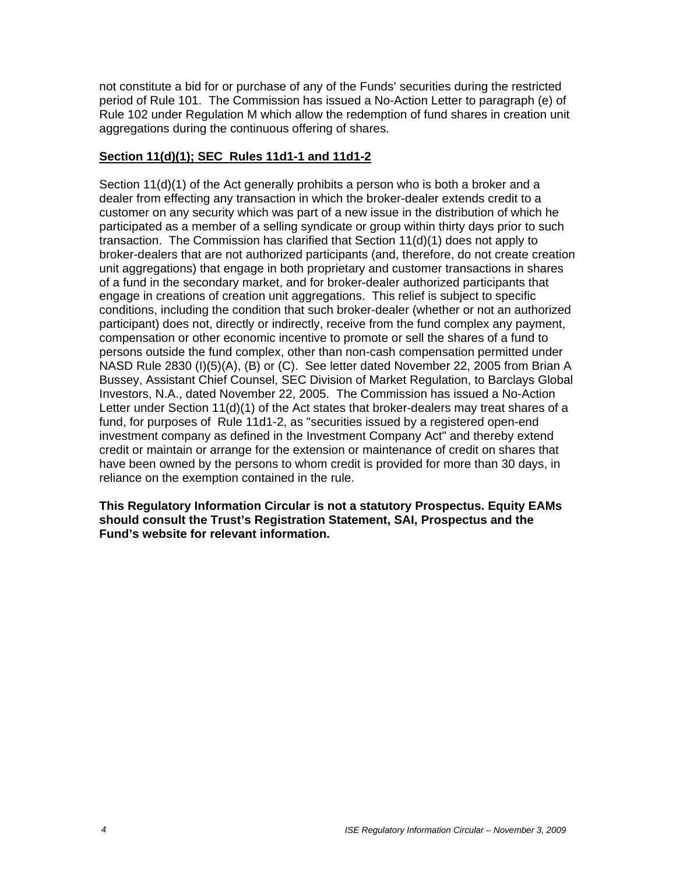not constitute a bid for or purchase of any of the Funds' securities during the restricted period of Rule 101. The Commission has issued a No-Action Letter to paragraph (e) of Rule 102 under Regulation M which allow the redemption of fund shares in creation unit aggregations during the continuous offering of shares.

### **Section 11(d)(1); SEC Rules 11d1-1 and 11d1-2**

Section 11(d)(1) of the Act generally prohibits a person who is both a broker and a dealer from effecting any transaction in which the broker-dealer extends credit to a customer on any security which was part of a new issue in the distribution of which he participated as a member of a selling syndicate or group within thirty days prior to such transaction. The Commission has clarified that Section 11(d)(1) does not apply to broker-dealers that are not authorized participants (and, therefore, do not create creation unit aggregations) that engage in both proprietary and customer transactions in shares of a fund in the secondary market, and for broker-dealer authorized participants that engage in creations of creation unit aggregations. This relief is subject to specific conditions, including the condition that such broker-dealer (whether or not an authorized participant) does not, directly or indirectly, receive from the fund complex any payment, compensation or other economic incentive to promote or sell the shares of a fund to persons outside the fund complex, other than non-cash compensation permitted under NASD Rule 2830 (I)(5)(A), (B) or (C). See letter dated November 22, 2005 from Brian A Bussey, Assistant Chief Counsel, SEC Division of Market Regulation, to Barclays Global Investors, N.A., dated November 22, 2005. The Commission has issued a No-Action Letter under Section 11(d)(1) of the Act states that broker-dealers may treat shares of a fund, for purposes of Rule 11d1-2, as "securities issued by a registered open-end investment company as defined in the Investment Company Act" and thereby extend credit or maintain or arrange for the extension or maintenance of credit on shares that have been owned by the persons to whom credit is provided for more than 30 days, in reliance on the exemption contained in the rule.

**This Regulatory Information Circular is not a statutory Prospectus. Equity EAMs should consult the Trust's Registration Statement, SAI, Prospectus and the Fund's website for relevant information.**